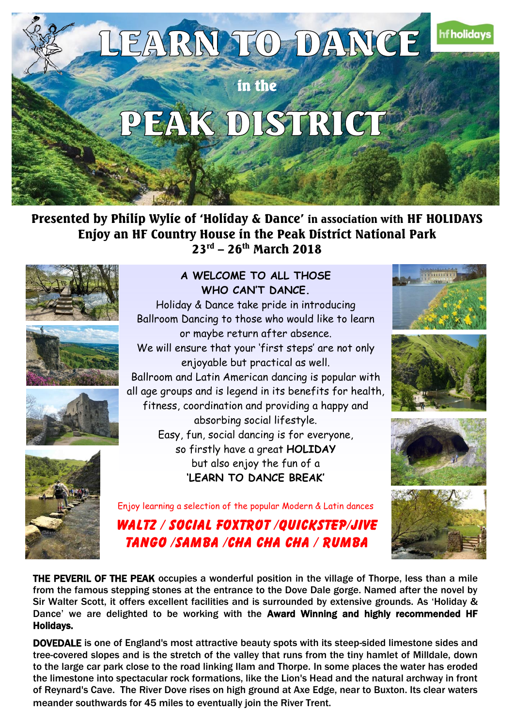

Presented by Philip Wylie of 'Holiday & Dance' in association with HF HOLIDAYS Enjoy an HF Country House in the Peak District National Park 23<sup>rd</sup> – 26<sup>th</sup> March 2018









### **A WELCOME TO ALL THOSE WHO CAN'T DANCE.**

 Holiday & Dance take pride in introducing Ballroom Dancing to those who would like to learn or maybe return after absence. We will ensure that your 'first steps' are not only enjoyable but practical as well. Ballroom and Latin American dancing is popular with all age groups and is legend in its benefits for health, fitness, coordination and providing a happy and absorbing social lifestyle. Easy, fun, social dancing is for everyone, so firstly have a great **HOLIDAY** but also enjoy the fun of a **'LEARN TO DANCE BREAK'**







Enjoy learning a selection of the popular Modern & Latin dances

WALTZ / SOCIAL FOXTROT /OUICKSTEP/JIVE TANGO /SAMBA /CHA CHA CHA / RUMBA



THE PEVERIL OF THE PEAK occupies a wonderful position in the village of Thorpe, less than a mile from the famous stepping stones at the entrance to the Dove Dale gorge. Named after the novel by Sir Walter Scott, it offers excellent facilities and is surrounded by extensive grounds. As 'Holiday & Dance' we are delighted to be working with the Award Winning and highly recommended HF Holidays.

DOVEDALE is one of England's most attractive beauty spots with its steep-sided limestone sides and tree-covered slopes and is the stretch of the valley that runs from the tiny hamlet of Milldale, down to the large car park close to the road linking Ilam and Thorpe. In some places the water has eroded the limestone into spectacular rock formations, like the Lion's Head and the natural archway in front of Reynard's Cave. The River Dove rises on high ground at Axe Edge, near to Buxton. Its clear waters meander southwards for 45 miles to eventually join the River Trent.